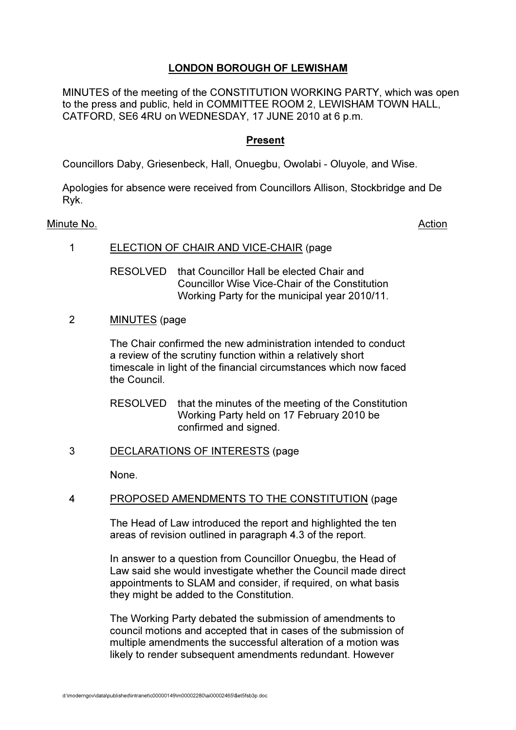# LONDON BOROUGH OF LEWISHAM

MINUTES of the meeting of the CONSTITUTION WORKING PARTY, which was open to the press and public, held in COMMITTEE ROOM 2, LEWISHAM TOWN HALL, CATFORD, SE6 4RU on WEDNESDAY, 17 JUNE 2010 at 6 p.m.

# Present

Councillors Daby, Griesenbeck, Hall, Onuegbu, Owolabi - Oluyole, and Wise.

Apologies for absence were received from Councillors Allison, Stockbridge and De Ryk.

#### Minute No. **Action**

## 1 ELECTION OF CHAIR AND VICE-CHAIR (page

 RESOLVED that Councillor Hall be elected Chair and Councillor Wise Vice-Chair of the Constitution Working Party for the municipal year 2010/11.

2 MINUTES (page

 The Chair confirmed the new administration intended to conduct a review of the scrutiny function within a relatively short timescale in light of the financial circumstances which now faced the Council.

RESOLVED that the minutes of the meeting of the Constitution Working Party held on 17 February 2010 be confirmed and signed.

# 3 DECLARATIONS OF INTERESTS (page

None.

# 4 PROPOSED AMENDMENTS TO THE CONSTITUTION (page

 The Head of Law introduced the report and highlighted the ten areas of revision outlined in paragraph 4.3 of the report.

 In answer to a question from Councillor Onuegbu, the Head of Law said she would investigate whether the Council made direct appointments to SLAM and consider, if required, on what basis they might be added to the Constitution.

 The Working Party debated the submission of amendments to council motions and accepted that in cases of the submission of multiple amendments the successful alteration of a motion was likely to render subsequent amendments redundant. However